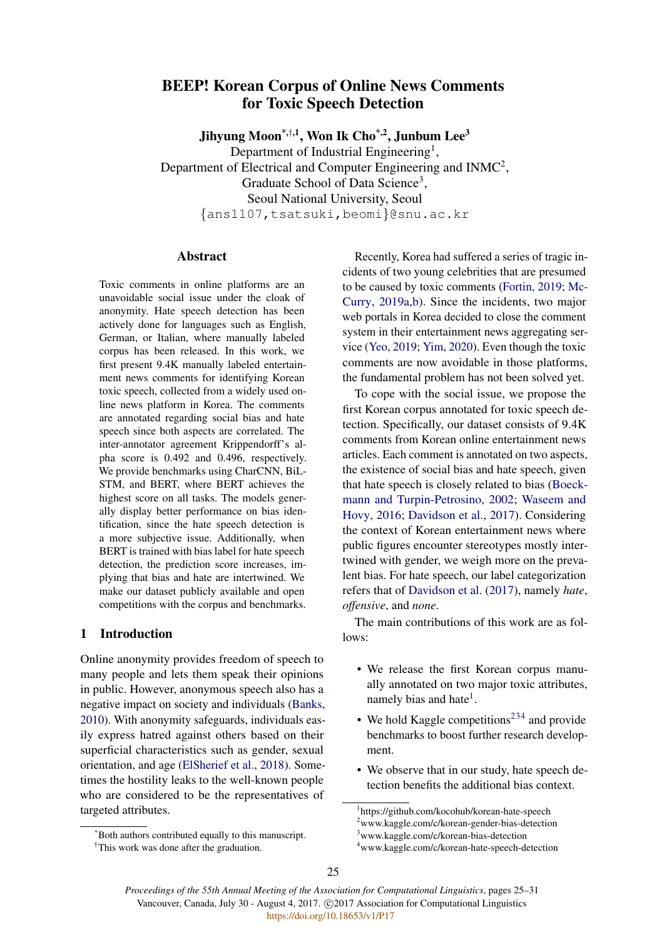# BEEP! Korean Corpus of Online News Comments for Toxic Speech Detection

Jihyung Moon<sup>\*,†,1</sup>, Won Ik Cho<sup>\*,2</sup>, Junbum Lee<sup>3</sup>

Department of Industrial Engineering<sup>1</sup>, Department of Electrical and Computer Engineering and INMC<sup>2</sup>, Graduate School of Data Science<sup>3</sup>, Seoul National University, Seoul {ans1107,tsatsuki,beomi}@snu.ac.kr

## Abstract

Toxic comments in online platforms are an unavoidable social issue under the cloak of anonymity. Hate speech detection has been actively done for languages such as English, German, or Italian, where manually labeled corpus has been released. In this work, we first present 9.4K manually labeled entertainment news comments for identifying Korean toxic speech, collected from a widely used online news platform in Korea. The comments are annotated regarding social bias and hate speech since both aspects are correlated. The inter-annotator agreement Krippendorff's alpha score is 0.492 and 0.496, respectively. We provide benchmarks using CharCNN, BiL-STM, and BERT, where BERT achieves the highest score on all tasks. The models generally display better performance on bias identification, since the hate speech detection is a more subjective issue. Additionally, when BERT is trained with bias label for hate speech detection, the prediction score increases, implying that bias and hate are intertwined. We make our dataset publicly available and open competitions with the corpus and benchmarks.

### 1 Introduction

Online anonymity provides freedom of speech to many people and lets them speak their opinions in public. However, anonymous speech also has a negative impact on society and individuals [\(Banks,](#page-4-0) [2010\)](#page-4-0). With anonymity safeguards, individuals easily express hatred against others based on their superficial characteristics such as gender, sexual orientation, and age [\(ElSherief et al.,](#page-4-1) [2018\)](#page-4-1). Sometimes the hostility leaks to the well-known people who are considered to be the representatives of targeted attributes.

Recently, Korea had suffered a series of tragic incidents of two young celebrities that are presumed to be caused by toxic comments [\(Fortin,](#page-4-2) [2019;](#page-4-2) [Mc-](#page-4-3)[Curry,](#page-4-3) [2019a](#page-4-3)[,b\)](#page-4-4). Since the incidents, two major web portals in Korea decided to close the comment system in their entertainment news aggregating service [\(Yeo,](#page-5-0) [2019;](#page-5-0) [Yim,](#page-5-1) [2020\)](#page-5-1). Even though the toxic comments are now avoidable in those platforms, the fundamental problem has not been solved yet.

To cope with the social issue, we propose the first Korean corpus annotated for toxic speech detection. Specifically, our dataset consists of 9.4K comments from Korean online entertainment news articles. Each comment is annotated on two aspects, the existence of social bias and hate speech, given that hate speech is closely related to bias [\(Boeck](#page-4-5)[mann and Turpin-Petrosino,](#page-4-5) [2002;](#page-4-5) [Waseem and](#page-5-2) [Hovy,](#page-5-2) [2016;](#page-5-2) [Davidson et al.,](#page-4-6) [2017\)](#page-4-6). Considering the context of Korean entertainment news where public figures encounter stereotypes mostly intertwined with gender, we weigh more on the prevalent bias. For hate speech, our label categorization refers that of [Davidson et al.](#page-4-6) [\(2017\)](#page-4-6), namely *hate*, *offensive*, and *none*.

The main contributions of this work are as follows:

- We release the first Korean corpus manually annotated on two major toxic attributes, namely bias and hate<sup>[1](#page-0-0)</sup>.
- We hold Kaggle competitions<sup>[2](#page-0-1)[3](#page-0-2)[4](#page-0-3)</sup> and provide benchmarks to boost further research development.
- We observe that in our study, hate speech detection benefits the additional bias context.

<sup>\*</sup>Both authors contributed equally to this manuscript.

<sup>†</sup>This work was done after the graduation.

<span id="page-0-1"></span><span id="page-0-0"></span><sup>1</sup> https://github.com/kocohub/korean-hate-speech <sup>2</sup>www.kaggle.com/c/korean-gender-bias-detection <sup>3</sup>www.kaggle.com/c/korean-bias-detection

<span id="page-0-3"></span><span id="page-0-2"></span><sup>4</sup>www.kaggle.com/c/korean-hate-speech-detection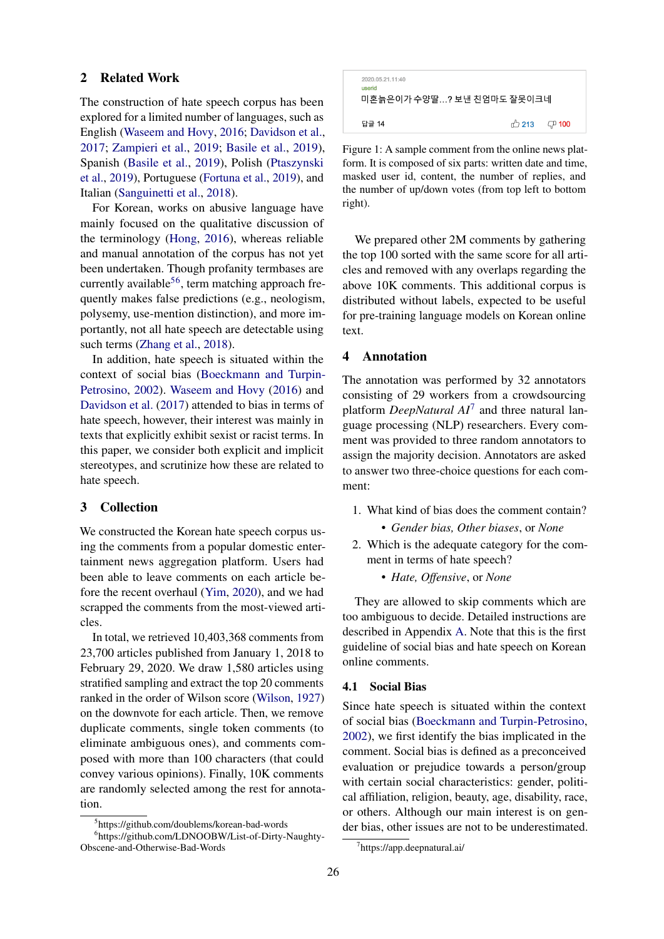#### <span id="page-1-3"></span>2 Related Work

The construction of hate speech corpus has been explored for a limited number of languages, such as English [\(Waseem and Hovy,](#page-5-2) [2016;](#page-5-2) [Davidson et al.,](#page-4-6) [2017;](#page-4-6) [Zampieri et al.,](#page-5-3) [2019;](#page-5-3) [Basile et al.,](#page-4-7) [2019\)](#page-4-7), Spanish [\(Basile et al.,](#page-4-7) [2019\)](#page-4-7), Polish [\(Ptaszynski](#page-4-8) [et al.,](#page-4-8) [2019\)](#page-4-8), Portuguese [\(Fortuna et al.,](#page-4-9) [2019\)](#page-4-9), and Italian [\(Sanguinetti et al.,](#page-4-10) [2018\)](#page-4-10).

For Korean, works on abusive language have mainly focused on the qualitative discussion of the terminology [\(Hong,](#page-4-11) [2016\)](#page-4-11), whereas reliable and manual annotation of the corpus has not yet been undertaken. Though profanity termbases are currently available<sup>[5](#page-1-0)[6](#page-1-1)</sup>, term matching approach frequently makes false predictions (e.g., neologism, polysemy, use-mention distinction), and more importantly, not all hate speech are detectable using such terms [\(Zhang et al.,](#page-5-4) [2018\)](#page-5-4).

In addition, hate speech is situated within the context of social bias [\(Boeckmann and Turpin-](#page-4-5)[Petrosino,](#page-4-5) [2002\)](#page-4-5). [Waseem and Hovy](#page-5-2) [\(2016\)](#page-5-2) and [Davidson et al.](#page-4-6) [\(2017\)](#page-4-6) attended to bias in terms of hate speech, however, their interest was mainly in texts that explicitly exhibit sexist or racist terms. In this paper, we consider both explicit and implicit stereotypes, and scrutinize how these are related to hate speech.

## 3 Collection

We constructed the Korean hate speech corpus using the comments from a popular domestic entertainment news aggregation platform. Users had been able to leave comments on each article before the recent overhaul [\(Yim,](#page-5-1) [2020\)](#page-5-1), and we had scrapped the comments from the most-viewed articles.

In total, we retrieved 10,403,368 comments from 23,700 articles published from January 1, 2018 to February 29, 2020. We draw 1,580 articles using stratified sampling and extract the top 20 comments ranked in the order of Wilson score [\(Wilson,](#page-5-5) [1927\)](#page-5-5) on the downvote for each article. Then, we remove duplicate comments, single token comments (to eliminate ambiguous ones), and comments composed with more than 100 characters (that could convey various opinions). Finally, 10K comments are randomly selected among the rest for annotation.

| 2020.05.21.11:40<br>userid<br>미혼늙은이가 수양딸? 보낸 친엄마도 잘못이크네 |                                 |  |
|---------------------------------------------------------|---------------------------------|--|
| 답글 14                                                   | $\bigoplus$ 213 $\bigoplus$ 100 |  |

Figure 1: A sample comment from the online news platform. It is composed of six parts: written date and time, masked user id, content, the number of replies, and the number of up/down votes (from top left to bottom right).

We prepared other 2M comments by gathering the top 100 sorted with the same score for all articles and removed with any overlaps regarding the above 10K comments. This additional corpus is distributed without labels, expected to be useful for pre-training language models on Korean online text.

#### 4 Annotation

The annotation was performed by 32 annotators consisting of 29 workers from a crowdsourcing platform *DeepNatural AI*[7](#page-1-2) and three natural language processing (NLP) researchers. Every comment was provided to three random annotators to assign the majority decision. Annotators are asked to answer two three-choice questions for each comment:

- 1. What kind of bias does the comment contain?
	- *Gender bias, Other biases*, or *None*
- 2. Which is the adequate category for the comment in terms of hate speech?
	- *Hate, Offensive*, or *None*

They are allowed to skip comments which are too ambiguous to decide. Detailed instructions are described in Appendix [A.](#page-5-6) Note that this is the first guideline of social bias and hate speech on Korean online comments.

#### 4.1 Social Bias

Since hate speech is situated within the context of social bias [\(Boeckmann and Turpin-Petrosino,](#page-4-5) [2002\)](#page-4-5), we first identify the bias implicated in the comment. Social bias is defined as a preconceived evaluation or prejudice towards a person/group with certain social characteristics: gender, political affiliation, religion, beauty, age, disability, race, or others. Although our main interest is on gender bias, other issues are not to be underestimated.

<span id="page-1-1"></span><span id="page-1-0"></span><sup>5</sup> https://github.com/doublems/korean-bad-words

<sup>6</sup> https://github.com/LDNOOBW/List-of-Dirty-Naughty-Obscene-and-Otherwise-Bad-Words

<span id="page-1-2"></span><sup>7</sup> https://app.deepnatural.ai/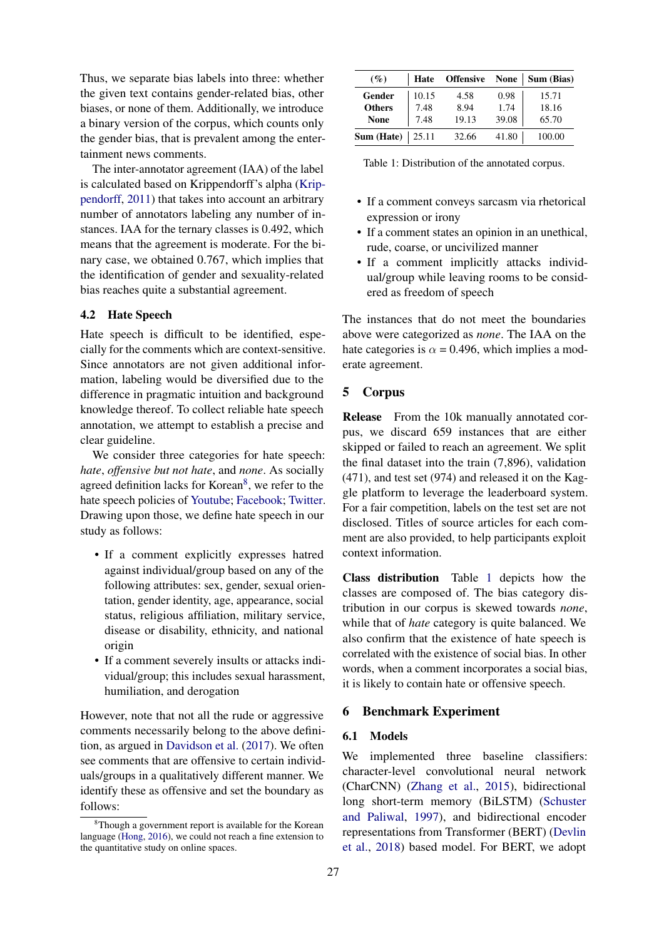Thus, we separate bias labels into three: whether the given text contains gender-related bias, other biases, or none of them. Additionally, we introduce a binary version of the corpus, which counts only the gender bias, that is prevalent among the entertainment news comments.

The inter-annotator agreement (IAA) of the label is calculated based on Krippendorff's alpha [\(Krip](#page-4-12)[pendorff,](#page-4-12) [2011\)](#page-4-12) that takes into account an arbitrary number of annotators labeling any number of instances. IAA for the ternary classes is 0.492, which means that the agreement is moderate. For the binary case, we obtained 0.767, which implies that the identification of gender and sexuality-related bias reaches quite a substantial agreement.

## 4.2 Hate Speech

Hate speech is difficult to be identified, especially for the comments which are context-sensitive. Since annotators are not given additional information, labeling would be diversified due to the difference in pragmatic intuition and background knowledge thereof. To collect reliable hate speech annotation, we attempt to establish a precise and clear guideline.

We consider three categories for hate speech: *hate*, *offensive but not hate*, and *none*. As socially agreed definition lacks for Korean<sup>[8](#page-2-0)</sup>, we refer to the hate speech policies of [Youtube;](#page-5-7) [Facebook;](#page-4-13) [Twitter.](#page-5-8) Drawing upon those, we define hate speech in our study as follows:

- If a comment explicitly expresses hatred against individual/group based on any of the following attributes: sex, gender, sexual orientation, gender identity, age, appearance, social status, religious affiliation, military service, disease or disability, ethnicity, and national origin
- If a comment severely insults or attacks individual/group; this includes sexual harassment, humiliation, and derogation

However, note that not all the rude or aggressive comments necessarily belong to the above definition, as argued in [Davidson et al.](#page-4-6) [\(2017\)](#page-4-6). We often see comments that are offensive to certain individuals/groups in a qualitatively different manner. We identify these as offensive and set the boundary as follows:

<span id="page-2-1"></span>

| $($ %)        | Hate  | <b>Offensive</b> | <b>None</b> | Sum (Bias) |
|---------------|-------|------------------|-------------|------------|
| Gender        | 10.15 | 4.58             | 0.98        | 15.71      |
| <b>Others</b> | 7.48  | 8.94             | 1.74        | 18.16      |
| <b>None</b>   | 7.48  | 19.13            | 39.08       | 65.70      |
| Sum (Hate)    | 25.11 | 32.66            | 41.80       | 100.00     |

Table 1: Distribution of the annotated corpus.

- If a comment conveys sarcasm via rhetorical expression or irony
- If a comment states an opinion in an unethical, rude, coarse, or uncivilized manner
- If a comment implicitly attacks individual/group while leaving rooms to be considered as freedom of speech

The instances that do not meet the boundaries above were categorized as *none*. The IAA on the hate categories is  $\alpha$  = 0.496, which implies a moderate agreement.

#### 5 Corpus

Release From the 10k manually annotated corpus, we discard 659 instances that are either skipped or failed to reach an agreement. We split the final dataset into the train (7,896), validation (471), and test set (974) and released it on the Kaggle platform to leverage the leaderboard system. For a fair competition, labels on the test set are not disclosed. Titles of source articles for each comment are also provided, to help participants exploit context information.

Class distribution Table [1](#page-2-1) depicts how the classes are composed of. The bias category distribution in our corpus is skewed towards *none*, while that of *hate* category is quite balanced. We also confirm that the existence of hate speech is correlated with the existence of social bias. In other words, when a comment incorporates a social bias, it is likely to contain hate or offensive speech.

#### 6 Benchmark Experiment

## 6.1 Models

We implemented three baseline classifiers: character-level convolutional neural network (CharCNN) [\(Zhang et al.,](#page-5-9) [2015\)](#page-5-9), bidirectional long short-term memory (BiLSTM) [\(Schuster](#page-5-10) [and Paliwal,](#page-5-10) [1997\)](#page-5-10), and bidirectional encoder representations from Transformer (BERT) [\(Devlin](#page-4-14) [et al.,](#page-4-14) [2018\)](#page-4-14) based model. For BERT, we adopt

<span id="page-2-0"></span><sup>&</sup>lt;sup>8</sup>Though a government report is available for the Korean language [\(Hong,](#page-4-11) [2016\)](#page-4-11), we could not reach a fine extension to the quantitative study on online spaces.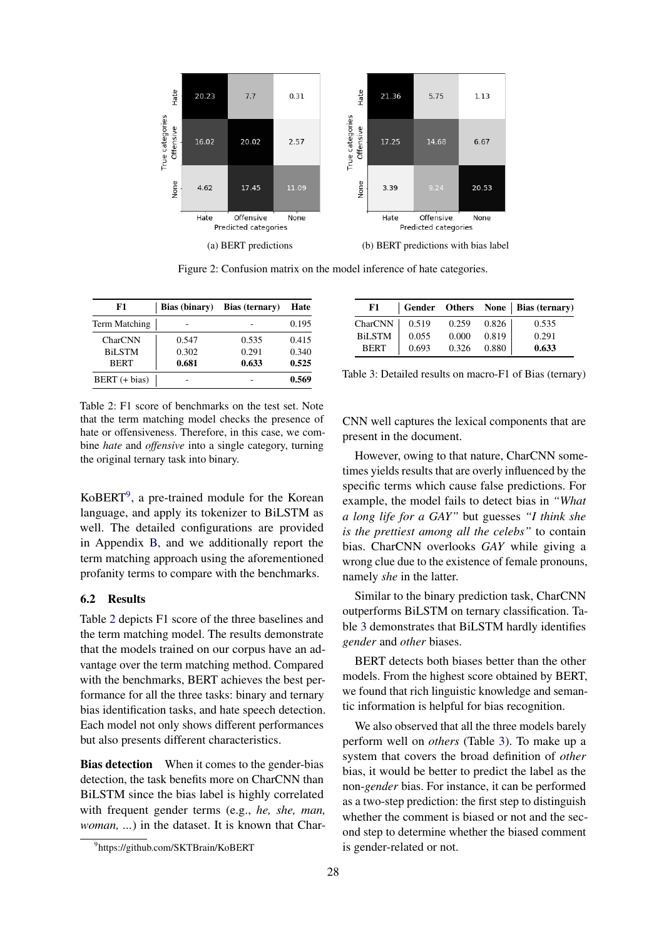<span id="page-3-3"></span>

Figure 2: Confusion matrix on the model inference of hate categories.

<span id="page-3-1"></span>

| F1            | <b>Bias</b> (binary) | Bias (ternary) | Hate  |  |
|---------------|----------------------|----------------|-------|--|
| Term Matching |                      |                | 0.195 |  |
| CharCNN       | 0.547                | 0.535          | 0.415 |  |
| <b>BiLSTM</b> | 0.302                | 0.291          | 0.340 |  |
| <b>BERT</b>   | 0.681                | 0.633          | 0.525 |  |
| BERT (+ bias) |                      |                | 0.569 |  |

<span id="page-3-2"></span>

| F1.           |       |       |       | Gender Others None   Bias (ternary) |
|---------------|-------|-------|-------|-------------------------------------|
| CharCNN       | 0.519 | 0.259 | 0.826 | 0.535                               |
| <b>BiLSTM</b> | 0.055 | 0.000 | 0.819 | 0.291                               |
| <b>BERT</b>   | 0.693 | 0.326 | 0.880 | 0.633                               |

Table 3: Detailed results on macro-F1 of Bias (ternary)

Table 2: F1 score of benchmarks on the test set. Note that the term matching model checks the presence of hate or offensiveness. Therefore, in this case, we combine *hate* and *offensive* into a single category, turning the original ternary task into binary.

KoBERT<sup>[9](#page-3-0)</sup>, a pre-trained module for the Korean language, and apply its tokenizer to BiLSTM as well. The detailed configurations are provided in Appendix [B,](#page-6-0) and we additionally report the term matching approach using the aforementioned profanity terms to compare with the benchmarks.

#### 6.2 Results

Table [2](#page-3-1) depicts F1 score of the three baselines and the term matching model. The results demonstrate that the models trained on our corpus have an advantage over the term matching method. Compared with the benchmarks, BERT achieves the best performance for all the three tasks: binary and ternary bias identification tasks, and hate speech detection. Each model not only shows different performances but also presents different characteristics.

Bias detection When it comes to the gender-bias detection, the task benefits more on CharCNN than BiLSTM since the bias label is highly correlated with frequent gender terms (e.g., *he, she, man, woman, ...*) in the dataset. It is known that CharCNN well captures the lexical components that are present in the document.

However, owing to that nature, CharCNN sometimes yields results that are overly influenced by the specific terms which cause false predictions. For example, the model fails to detect bias in *"What a long life for a GAY"* but guesses *"I think she is the prettiest among all the celebs"* to contain bias. CharCNN overlooks *GAY* while giving a wrong clue due to the existence of female pronouns, namely *she* in the latter.

Similar to the binary prediction task, CharCNN outperforms BiLSTM on ternary classification. Table [3](#page-3-2) demonstrates that BiLSTM hardly identifies *gender* and *other* biases.

BERT detects both biases better than the other models. From the highest score obtained by BERT, we found that rich linguistic knowledge and semantic information is helpful for bias recognition.

We also observed that all the three models barely perform well on *others* (Table [3\)](#page-3-2). To make up a system that covers the broad definition of *other* bias, it would be better to predict the label as the non-*gender* bias. For instance, it can be performed as a two-step prediction: the first step to distinguish whether the comment is biased or not and the second step to determine whether the biased comment is gender-related or not.

<span id="page-3-0"></span><sup>9</sup> https://github.com/SKTBrain/KoBERT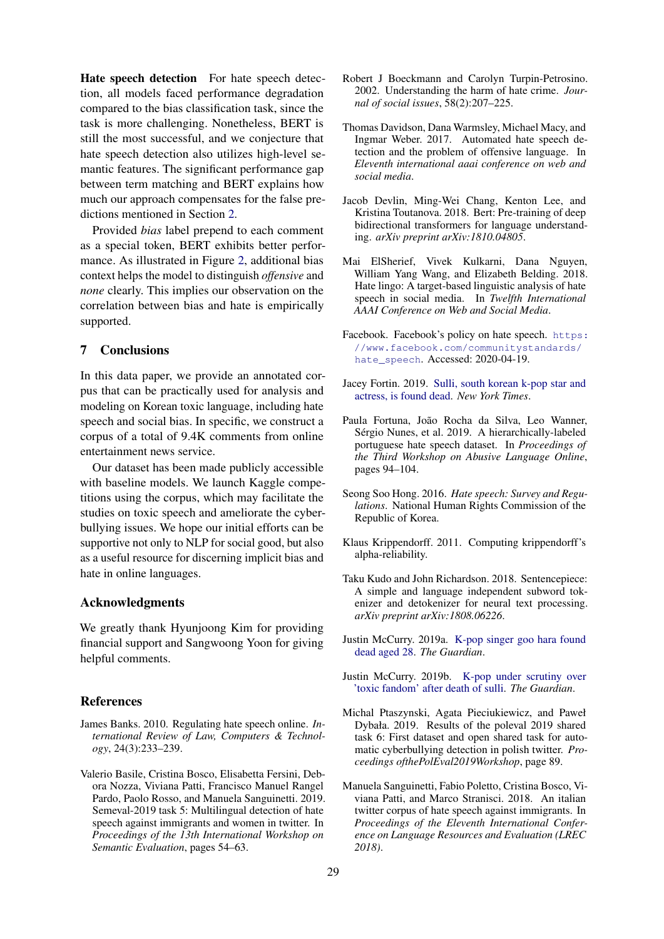Hate speech detection For hate speech detection, all models faced performance degradation compared to the bias classification task, since the task is more challenging. Nonetheless, BERT is still the most successful, and we conjecture that hate speech detection also utilizes high-level semantic features. The significant performance gap between term matching and BERT explains how much our approach compensates for the false predictions mentioned in Section [2.](#page-1-3)

Provided *bias* label prepend to each comment as a special token, BERT exhibits better performance. As illustrated in Figure [2,](#page-3-3) additional bias context helps the model to distinguish *offensive* and *none* clearly. This implies our observation on the correlation between bias and hate is empirically supported.

### 7 Conclusions

In this data paper, we provide an annotated corpus that can be practically used for analysis and modeling on Korean toxic language, including hate speech and social bias. In specific, we construct a corpus of a total of 9.4K comments from online entertainment news service.

Our dataset has been made publicly accessible with baseline models. We launch Kaggle competitions using the corpus, which may facilitate the studies on toxic speech and ameliorate the cyberbullying issues. We hope our initial efforts can be supportive not only to NLP for social good, but also as a useful resource for discerning implicit bias and hate in online languages.

#### Acknowledgments

We greatly thank Hyunjoong Kim for providing financial support and Sangwoong Yoon for giving helpful comments.

#### References

- <span id="page-4-0"></span>James Banks. 2010. Regulating hate speech online. *International Review of Law, Computers & Technology*, 24(3):233–239.
- <span id="page-4-7"></span>Valerio Basile, Cristina Bosco, Elisabetta Fersini, Debora Nozza, Viviana Patti, Francisco Manuel Rangel Pardo, Paolo Rosso, and Manuela Sanguinetti. 2019. Semeval-2019 task 5: Multilingual detection of hate speech against immigrants and women in twitter. In *Proceedings of the 13th International Workshop on Semantic Evaluation*, pages 54–63.
- <span id="page-4-5"></span>Robert J Boeckmann and Carolyn Turpin-Petrosino. 2002. Understanding the harm of hate crime. *Journal of social issues*, 58(2):207–225.
- <span id="page-4-6"></span>Thomas Davidson, Dana Warmsley, Michael Macy, and Ingmar Weber. 2017. Automated hate speech detection and the problem of offensive language. In *Eleventh international aaai conference on web and social media*.
- <span id="page-4-14"></span>Jacob Devlin, Ming-Wei Chang, Kenton Lee, and Kristina Toutanova. 2018. Bert: Pre-training of deep bidirectional transformers for language understanding. *arXiv preprint arXiv:1810.04805*.
- <span id="page-4-1"></span>Mai ElSherief, Vivek Kulkarni, Dana Nguyen, William Yang Wang, and Elizabeth Belding. 2018. Hate lingo: A target-based linguistic analysis of hate speech in social media. In *Twelfth International AAAI Conference on Web and Social Media*.
- <span id="page-4-13"></span>Facebook. Facebook's policy on hate speech. [https:](https://www.facebook.com/communitystandards/hate_speech) [//www.facebook.com/communitystandards/](https://www.facebook.com/communitystandards/hate_speech) [hate\\_speech](https://www.facebook.com/communitystandards/hate_speech). Accessed: 2020-04-19.
- <span id="page-4-2"></span>Jacey Fortin. 2019. [Sulli, south korean k-pop star and](https://www.nytimes.com/2019/10/14/arts/music/sulli-dead.html) [actress, is found dead.](https://www.nytimes.com/2019/10/14/arts/music/sulli-dead.html) *New York Times*.
- <span id="page-4-9"></span>Paula Fortuna, João Rocha da Silva, Leo Wanner, Sérgio Nunes, et al. 2019. A hierarchically-labeled portuguese hate speech dataset. In *Proceedings of the Third Workshop on Abusive Language Online*, pages 94–104.
- <span id="page-4-11"></span>Seong Soo Hong. 2016. *Hate speech: Survey and Regulations*. National Human Rights Commission of the Republic of Korea.
- <span id="page-4-12"></span>Klaus Krippendorff. 2011. Computing krippendorff's alpha-reliability.
- <span id="page-4-15"></span>Taku Kudo and John Richardson. 2018. Sentencepiece: A simple and language independent subword tokenizer and detokenizer for neural text processing. *arXiv preprint arXiv:1808.06226*.
- <span id="page-4-3"></span>Justin McCurry. 2019a. [K-pop singer goo hara found](https://www.theguardian.com/music/2019/nov/24/goo-hara-k-pop-singer-found-dead-aged-28) [dead aged 28.](https://www.theguardian.com/music/2019/nov/24/goo-hara-k-pop-singer-found-dead-aged-28) *The Guardian*.
- <span id="page-4-4"></span>Justin McCurry. 2019b. [K-pop under scrutiny over](https://www.theguardian.com/music/2019/oct/18/k-pop-under-scrutiny-over-toxic-fandom-after-death-of-sulli) ['toxic fandom' after death of sulli.](https://www.theguardian.com/music/2019/oct/18/k-pop-under-scrutiny-over-toxic-fandom-after-death-of-sulli) *The Guardian*.
- <span id="page-4-8"></span>Michal Ptaszynski, Agata Pieciukiewicz, and Paweł Dybała. 2019. Results of the poleval 2019 shared task 6: First dataset and open shared task for automatic cyberbullying detection in polish twitter. *Proceedings ofthePolEval2019Workshop*, page 89.
- <span id="page-4-10"></span>Manuela Sanguinetti, Fabio Poletto, Cristina Bosco, Viviana Patti, and Marco Stranisci. 2018. An italian twitter corpus of hate speech against immigrants. In *Proceedings of the Eleventh International Conference on Language Resources and Evaluation (LREC 2018)*.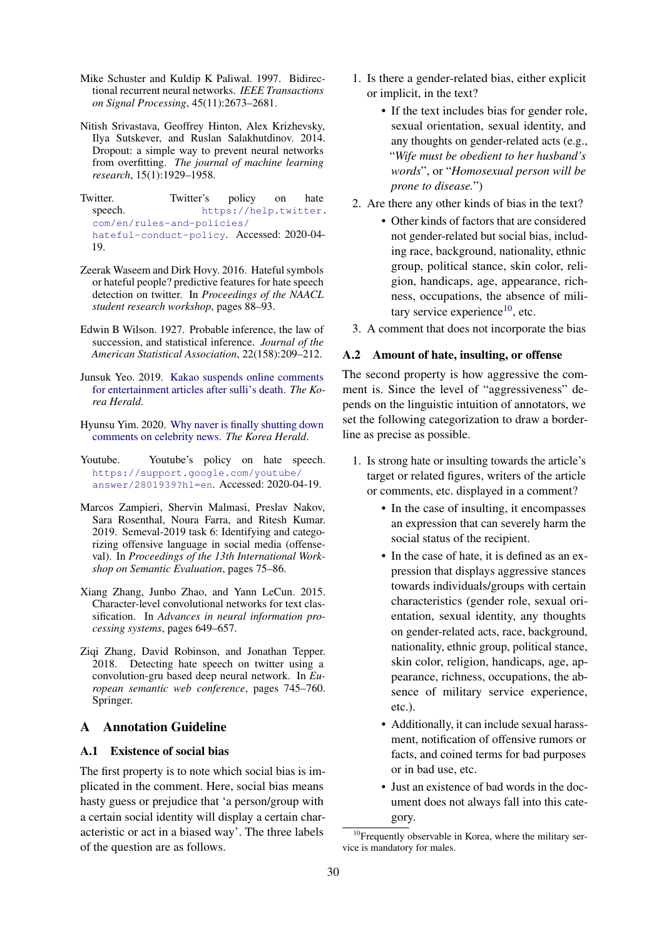- <span id="page-5-10"></span>Mike Schuster and Kuldip K Paliwal. 1997. Bidirectional recurrent neural networks. *IEEE Transactions on Signal Processing*, 45(11):2673–2681.
- <span id="page-5-12"></span>Nitish Srivastava, Geoffrey Hinton, Alex Krizhevsky, Ilya Sutskever, and Ruslan Salakhutdinov. 2014. Dropout: a simple way to prevent neural networks from overfitting. *The journal of machine learning research*, 15(1):1929–1958.

<span id="page-5-8"></span>Twitter. Twitter's policy on hate speech. [https://help.twitter.](https://help.twitter.com/en/rules-and-policies/hateful-conduct-policy) [com/en/rules-and-policies/](https://help.twitter.com/en/rules-and-policies/hateful-conduct-policy) [hateful-conduct-policy](https://help.twitter.com/en/rules-and-policies/hateful-conduct-policy). Accessed: 2020-04- 19.

- <span id="page-5-2"></span>Zeerak Waseem and Dirk Hovy. 2016. Hateful symbols or hateful people? predictive features for hate speech detection on twitter. In *Proceedings of the NAACL student research workshop*, pages 88–93.
- <span id="page-5-5"></span>Edwin B Wilson. 1927. Probable inference, the law of succession, and statistical inference. *Journal of the American Statistical Association*, 22(158):209–212.
- <span id="page-5-0"></span>Junsuk Yeo. 2019. [Kakao suspends online comments](http://www.koreaherald.com/view.php?ud=20191025000711) [for entertainment articles after sulli's death.](http://www.koreaherald.com/view.php?ud=20191025000711) *The Korea Herald*.
- <span id="page-5-1"></span>Hyunsu Yim. 2020. [Why naver is finally shutting down](http://www.koreaherald.com/view.php?ud=20200220000937) [comments on celebrity news.](http://www.koreaherald.com/view.php?ud=20200220000937) *The Korea Herald*.
- <span id="page-5-7"></span>Youtube. Youtube's policy on hate speech. [https://support.google.com/youtube/](https://support.google.com/youtube/answer/2801939?hl=en) [answer/2801939?hl=en](https://support.google.com/youtube/answer/2801939?hl=en). Accessed: 2020-04-19.
- <span id="page-5-3"></span>Marcos Zampieri, Shervin Malmasi, Preslav Nakov, Sara Rosenthal, Noura Farra, and Ritesh Kumar. 2019. Semeval-2019 task 6: Identifying and categorizing offensive language in social media (offenseval). In *Proceedings of the 13th International Workshop on Semantic Evaluation*, pages 75–86.
- <span id="page-5-9"></span>Xiang Zhang, Junbo Zhao, and Yann LeCun. 2015. Character-level convolutional networks for text classification. In *Advances in neural information processing systems*, pages 649–657.
- <span id="page-5-4"></span>Ziqi Zhang, David Robinson, and Jonathan Tepper. 2018. Detecting hate speech on twitter using a convolution-gru based deep neural network. In *European semantic web conference*, pages 745–760. Springer.

## <span id="page-5-6"></span>A Annotation Guideline

### A.1 Existence of social bias

The first property is to note which social bias is implicated in the comment. Here, social bias means hasty guess or prejudice that 'a person/group with a certain social identity will display a certain characteristic or act in a biased way'. The three labels of the question are as follows.

- 1. Is there a gender-related bias, either explicit or implicit, in the text?
	- If the text includes bias for gender role, sexual orientation, sexual identity, and any thoughts on gender-related acts (e.g., "*Wife must be obedient to her husband's words*", or "*Homosexual person will be prone to disease.*")
- 2. Are there any other kinds of bias in the text?
	- Other kinds of factors that are considered not gender-related but social bias, including race, background, nationality, ethnic group, political stance, skin color, religion, handicaps, age, appearance, richness, occupations, the absence of mili-tary service experience<sup>[10](#page-5-11)</sup>, etc.
- 3. A comment that does not incorporate the bias

### A.2 Amount of hate, insulting, or offense

The second property is how aggressive the comment is. Since the level of "aggressiveness" depends on the linguistic intuition of annotators, we set the following categorization to draw a borderline as precise as possible.

- 1. Is strong hate or insulting towards the article's target or related figures, writers of the article or comments, etc. displayed in a comment?
	- In the case of insulting, it encompasses an expression that can severely harm the social status of the recipient.
	- In the case of hate, it is defined as an expression that displays aggressive stances towards individuals/groups with certain characteristics (gender role, sexual orientation, sexual identity, any thoughts on gender-related acts, race, background, nationality, ethnic group, political stance, skin color, religion, handicaps, age, appearance, richness, occupations, the absence of military service experience, etc.).
	- Additionally, it can include sexual harassment, notification of offensive rumors or facts, and coined terms for bad purposes or in bad use, etc.
	- Just an existence of bad words in the document does not always fall into this category.

<span id="page-5-11"></span> $10$ Frequently observable in Korea, where the military service is mandatory for males.